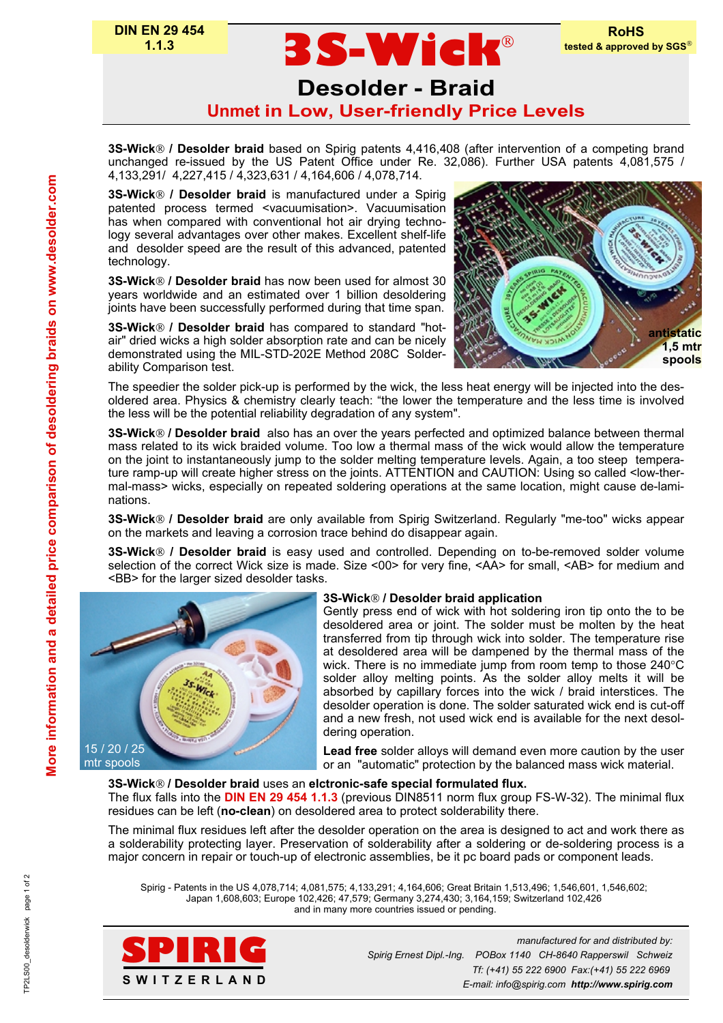# **Desolder - Braid Unmet in Low, User-friendly Price Levels**

**3S-Wick**

**3S-Wick / Desolder braid** based on Spirig patents 4,416,408 (after intervention of a competing brand unchanged re-issued by the US Patent Office under Re. 32,086). Further USA patents 4,081,575 / 4,133,291/ 4,227,415 / 4,323,631 / 4,164,606 / 4,078,714.

**3S-Wick / Desolder braid** is manufactured under a Spirig patented process termed <vacuumisation>. Vacuumisation has when compared with conventional hot air drying technology several advantages over other makes. Excellent shelf-life and desolder speed are the result of this advanced, patented technology.

**3S-Wick / Desolder braid** has now been used for almost 30 years worldwide and an estimated over 1 billion desoldering joints have been successfully performed during that time span.

**3S-Wick / Desolder braid** has compared to standard "hotair" dried wicks a high solder absorption rate and can be nicely demonstrated using the MIL-STD-202E Method 208C Solderability Comparison test.



The speedier the solder pick-up is performed by the wick, the less heat energy will be injected into the desoldered area. Physics & chemistry clearly teach: "the lower the temperature and the less time is involved the less will be the potential reliability degradation of any system".

**3S-Wick / Desolder braid** also has an over the years perfected and optimized balance between thermal mass related to its wick braided volume. Too low a thermal mass of the wick would allow the temperature on the joint to instantaneously jump to the solder melting temperature levels. Again, a too steep temperature ramp-up will create higher stress on the joints. ATTENTION and CAUTION: Using so called <low-thermal-mass> wicks, especially on repeated soldering operations at the same location, might cause de-laminations.

**3S-Wick / Desolder braid** are only available from Spirig Switzerland. Regularly "me-too" wicks appear on the markets and leaving a corrosion trace behind do disappear again.

**3S-Wick / Desolder braid** is easy used and controlled. Depending on to-be-removed solder volume selection of the correct Wick size is made. Size <00> for very fine, <AA> for small, <AB> for medium and <BB> for the larger sized desolder tasks.



# **3S-Wick / Desolder braid application**

Gently press end of wick with hot soldering iron tip onto the to be desoldered area or joint. The solder must be molten by the heat transferred from tip through wick into solder. The temperature rise at desoldered area will be dampened by the thermal mass of the wick. There is no immediate jump from room temp to those 240°C solder alloy melting points. As the solder alloy melts it will be absorbed by capillary forces into the wick / braid interstices. The desolder operation is done. The solder saturated wick end is cut-off and a new fresh, not used wick end is available for the next desoldering operation.

**Lead free** solder alloys will demand even more caution by the user or an "automatic" protection by the balanced mass wick material.

# **3S-Wick / Desolder braid** uses an **elctronic-safe special formulated flux.**

The flux falls into the **DIN EN 29 454 1.1.3** (previous DIN8511 norm flux group FS-W-32). The minimal flux residues can be left (**no-clean**) on desoldered area to protect solderability there.

The minimal flux residues left after the desolder operation on the area is designed to act and work there as a solderability protecting layer. Preservation of solderability after a soldering or de-soldering process is a major concern in repair or touch-up of electronic assemblies, be it pc board pads or component leads.

Spirig - Patents in the US 4,078,714; 4,081,575; 4,133,291; 4,164,606; Great Britain 1,513,496; 1,546,601, 1,546,602; Japan 1,608,603; Europe 102,426; 47,579; Germany 3,274,430; 3,164,159; Switzerland 102,426 and in many more countries issued or pending.